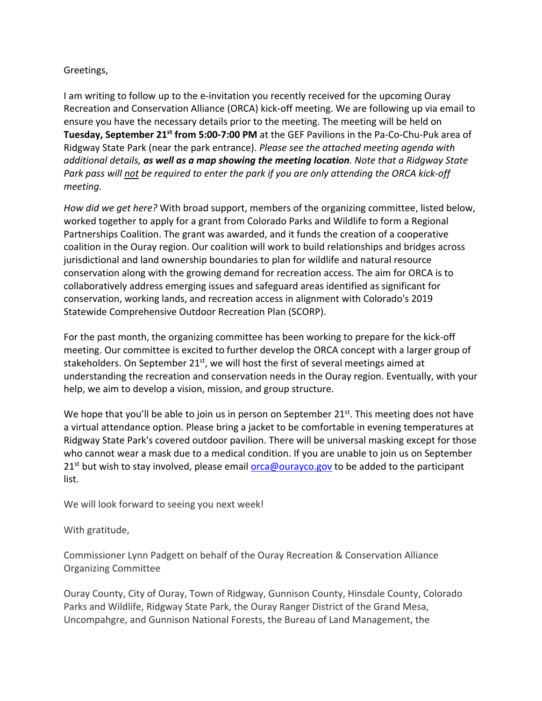## Greetings,

I am writing to follow up to the e‐invitation you recently received for the upcoming Ouray Recreation and Conservation Alliance (ORCA) kick‐off meeting. We are following up via email to ensure you have the necessary details prior to the meeting. The meeting will be held on **Tuesday, September 21st from 5:00‐7:00 PM** at the GEF Pavilions in the Pa‐Co‐Chu‐Puk area of Ridgway State Park (near the park entrance). *Please see the attached meeting agenda with additional details, as well as a map showing the meeting location. Note that a Ridgway State* Park pass will not be required to enter the park if you are only attending the ORCA kick-off *meeting.* 

*How did we get here?* With broad support, members of the organizing committee, listed below, worked together to apply for a grant from Colorado Parks and Wildlife to form a Regional Partnerships Coalition. The grant was awarded, and it funds the creation of a cooperative coalition in the Ouray region. Our coalition will work to build relationships and bridges across jurisdictional and land ownership boundaries to plan for wildlife and natural resource conservation along with the growing demand for recreation access. The aim for ORCA is to collaboratively address emerging issues and safeguard areas identified as significant for conservation, working lands, and recreation access in alignment with Colorado's 2019 Statewide Comprehensive Outdoor Recreation Plan (SCORP).

For the past month, the organizing committee has been working to prepare for the kick‐off meeting. Our committee is excited to further develop the ORCA concept with a larger group of stakeholders. On September  $21<sup>st</sup>$ , we will host the first of several meetings aimed at understanding the recreation and conservation needs in the Ouray region. Eventually, with your help, we aim to develop a vision, mission, and group structure.

We hope that you'll be able to join us in person on September  $21^{st}$ . This meeting does not have a virtual attendance option. Please bring a jacket to be comfortable in evening temperatures at Ridgway State Park's covered outdoor pavilion. There will be universal masking except for those who cannot wear a mask due to a medical condition. If you are unable to join us on September  $21<sup>st</sup>$  but wish to stay involved, please email  $\overline{orca@ourayco.gov}$  to be added to the participant list.

We will look forward to seeing you next week!

With gratitude,

Commissioner Lynn Padgett on behalf of the Ouray Recreation & Conservation Alliance Organizing Committee

Ouray County, City of Ouray, Town of Ridgway, Gunnison County, Hinsdale County, Colorado Parks and Wildlife, Ridgway State Park, the Ouray Ranger District of the Grand Mesa, Uncompahgre, and Gunnison National Forests, the Bureau of Land Management, the